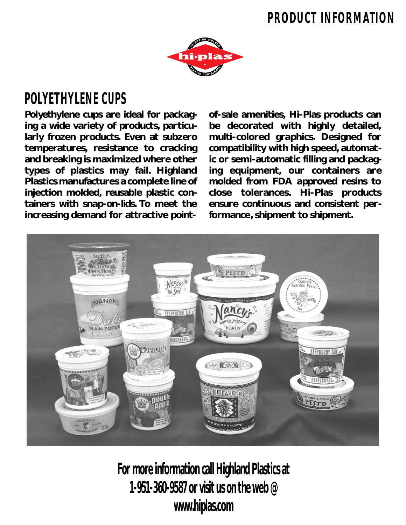## **PRODUCT INFORMATION**



## **POLYETHYLENE CUPS**

**Polyethylene cups are ideal for packaging a wide variety of products, particularly frozen products. Even at subzero temperatures, resistance to cracking and breaking is maximized where other types of plastics may fail. Highland Plastics manufactures a complete line of injection molded, reusable plastic containers with snap-on-lids. To meet the increasing demand for attractive point-** **of-sale amenities, Hi-Plas products can be decorated with highly detailed, multi-colored graphics. Designed for compatibility with high speed, automatic or semi-automatic filling and packaging equipment, our containers are molded from FDA approved resins to close tolerances. Hi-Plas products ensure continuous and consistent performance, shipment to shipment.**



**For more information call Highland Plastics at 1-951-360-9587 or visit us on the web @ www.hiplas.com**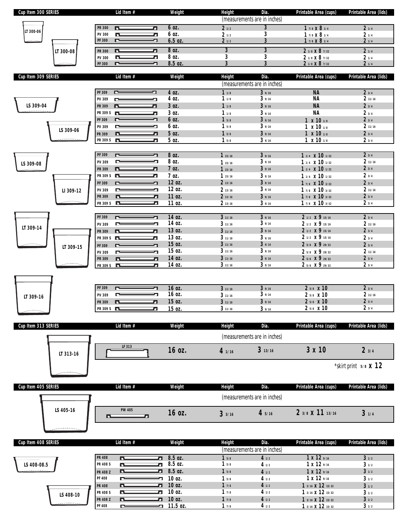| Cup Item 300 SERIES    |            |                                  | Lid Item #        | Weight             | Height                    | Dia.<br>(measurements are in inches) | Printable Area (cups)                        | Printable Area (lids)          |
|------------------------|------------|----------------------------------|-------------------|--------------------|---------------------------|--------------------------------------|----------------------------------------------|--------------------------------|
|                        |            | <b>PR 300</b>                    | n.<br>л           | 6 oz.              | 21/2                      | 3                                    | 1 7/8 X 8 1/4                                | 21/4                           |
| LT 300-06              |            | <b>PV 300</b>                    | n.<br>Л           | 6 oz.              | 21/2                      | 3                                    | 1 7/8 X 8 1/4                                | 21/4                           |
|                        |            | <b>PF 300</b>                    | r<br>┓            | $6.5$ oz.          | 21/2                      | 3                                    | 1 7/8 X 8 1/4                                | 21/4                           |
|                        | LT 300-08  | <b>PR 300</b>                    | D.<br>л           | 80Z.               | $\overline{\overline{3}}$ | $\overline{3}$                       | 2 1/8 X 8 7/32                               | 21/4                           |
|                        |            | <b>PV 300</b>                    | 57<br>n           | 8 oz.              | 3                         | 3                                    | 2 1/8 X 8 7/32                               | 21/4                           |
|                        |            | <b>PF 300</b>                    | ᄀ<br>ᄃ            | 8.5 oz.            | 3                         | 3                                    | 2 1/8 X 8 7/32                               | 21/4                           |
| Cup Item 309 SERIES    |            |                                  | Lid Item #        | Weight             | <b>Height</b>             | Dia.                                 | Printable Area (cups)                        | Printable Area (lids)          |
|                        |            |                                  |                   |                    |                           | (measurements are in inches)         |                                              |                                |
|                        |            | PF 309                           | ⊏<br>┓            | 4 oz.              | 11/8                      | 39/16                                | <b>NA</b>                                    | 23/4                           |
|                        |            | PV 309                           |                   | 4 oz.              | 11/8                      | 39/16                                | NA                                           | 2 11/16                        |
| LS 309-04              |            | PR 309                           | л<br>n.           | 3 oz.              | 11/8                      | 39/16                                | <b>NA</b>                                    | 23/4                           |
|                        |            | PR 309 S                         | 77                | 3 oz.              | 11/8                      | 39/16                                | <b>NA</b>                                    | 23/4                           |
|                        |            | PF 309                           |                   | 6 oz.              | 15/8                      | 39/16                                | $1 \times 10^{-1/8}$                         | 23/4                           |
|                        | LS 309-06  | PV 309                           |                   | 6 oz.<br>5 oz.     | 15/8<br>15/8              | 39/16<br>39/16                       | $1 \times 10^{-1/8}$<br>$1 \times 10^{-1/8}$ | 2 11/16<br>23/4                |
|                        |            | PR 309<br>PR 309 S               | n<br>о<br>n.<br>л | 5 oz.              | 15/8                      | 39/16                                | $1 \times 10^{-1/8}$                         | 23/4                           |
|                        |            |                                  |                   |                    |                           |                                      |                                              |                                |
|                        |            | PF 309                           | ∼<br>┓            | 8 oz.              | 115/16                    | 39/16                                | 1 1/4 X 10 1/32                              | 23/4                           |
| LS 309-08              |            | PV 309                           |                   | 8 oz.              | 115/16                    | 39/16                                | 1 1/4 X 10 1/32                              | 2 11/16                        |
|                        |            | PR 309                           | л                 | 7 oz.              | 115/16                    | 39/16                                | 1 1/4 X 10 1/32                              | 23/4                           |
|                        |            | PR 309 S                         | л                 | 7 oz.              | 115/16                    | 39/16                                | 1 1/4 X 10 1/32                              | 23/4                           |
|                        |            | PF 309                           | ┓                 | 12 oz.             | 213/16                    | 39/16                                | 1 7/8 X 10 3/32                              | 23/4                           |
|                        | LI 309-12  | PV 309<br>PR 309                 | D.<br>л           | 12 oz.<br>11 oz.   | 213/16<br>213/16          | 39/16<br>39/16                       | 1 7/8 X 10 3/32<br>1 7/8 X 10 3/32           | 211/16<br>23/4                 |
|                        |            | PR 309 S                         | h.<br>л           | 11 oz.             | 213/16                    | 39/16                                | 1 7/8 X 10 3/32                              | 23/4                           |
|                        |            |                                  |                   |                    |                           |                                      |                                              |                                |
|                        |            | PF 309                           |                   | 14 oz.             | 311/16                    | 39/16                                | 2 1/2 × 9 15/16                              | 23/4                           |
| LT 309-14              |            | PV 309                           |                   | 14 oz.             | 311/16                    | 39/16                                | 2 1/2 × 9 15/16                              | 211/16                         |
|                        |            | PR 309                           | Л                 | 13 oz.             | 311/16                    | 39/16                                | 2 1/2 × 9 15/16                              | 23/4                           |
|                        |            | PR 309 S                         | л                 | 13 oz.<br>15 oz.   | 311/16<br>311/16          | 39/16<br>39/16                       | 2 1/2 × 9 15/16<br>2 5/8 × 9 29/32           | 23/4<br>23/4                   |
|                        | LT 309-15  | PF 309<br>PV 309                 | ┓<br>Л            | 15 oz.             | 311/16                    | 39/16                                | 2 5/8 × 9 29/32                              | 211/16                         |
|                        |            | PR 309                           | л<br>п            | 14 oz.             | 311/16                    | 39/16                                | 2 5/8 × 9 29/32                              | 23/4                           |
|                        |            | PR 309 S                         | n.<br>л           | 14 oz.             | 311/16                    | 39/16                                | 2 5/8 X 9 29/32                              | 23/4                           |
|                        |            |                                  |                   |                    |                           |                                      |                                              |                                |
|                        |            |                                  |                   |                    |                           |                                      |                                              |                                |
|                        |            | PF 309                           | л                 | 16 oz.             | 311/16                    | 39/16                                | $25/8$ $\times$ 10                           | 23/4                           |
| LT 309-16              |            | PV 309                           |                   | 16 oz.<br>15 oz.   | 311/16                    | 39/16<br>39/16                       | 2 5/8 X 10<br>$25/8$ $\times$ 10             | 2 11/16<br>23/4                |
|                        |            | PR 309                           | D.<br>п           | 15 oz.             | 311/16<br>311/16          | 39/16                                | 2 5/8 X 10                                   | 23/4                           |
| ن پر پر پر محمد میں پر |            | PR 309 S                         | Д                 |                    |                           |                                      |                                              |                                |
| Cup Item 313 SERIES    |            |                                  | Lid Item #        | Weight             | Height                    | Dia.                                 | Printable Area (cups)                        | Printable Area (lids)          |
|                        |            |                                  |                   |                    |                           |                                      |                                              |                                |
|                        |            |                                  |                   |                    |                           | (measurements are in inches)         |                                              |                                |
|                        |            |                                  | LF 313            | 16 oz.             | 41/16                     | 313/16                               | 3 x 10                                       | 23/4                           |
|                        | LT 313-16  |                                  |                   |                    |                           |                                      |                                              |                                |
|                        |            |                                  |                   |                    |                           |                                      |                                              | *skirt print $5/8$ <b>X 12</b> |
|                        | . <u>.</u> |                                  |                   |                    |                           |                                      |                                              |                                |
|                        |            |                                  |                   |                    |                           |                                      |                                              |                                |
| Cup Item 405 SERIES    |            |                                  | Lid Item #        | Weight             | Height                    | Dia.                                 | Printable Area (cups)                        | Printable Area (lids)          |
|                        |            |                                  |                   |                    |                           | (measurements are in inches)         |                                              |                                |
|                        | LS 405-16  |                                  | <b>PW 405</b>     |                    |                           |                                      |                                              |                                |
|                        |            | r.                               | 77                | 16 oz.             | 33/16                     | 45/16                                | 2 3/8 X 11 13/16                             | 31/4                           |
|                        |            |                                  |                   |                    |                           |                                      |                                              |                                |
|                        | . <u>.</u> |                                  |                   |                    |                           |                                      |                                              |                                |
| Cup Item 408 SERIES    |            |                                  | Lid Item #        | Weight             | <b>Height</b>             | Dia.                                 | Printable Area (cups)                        | Printable Area (lids)          |
|                        |            |                                  |                   |                    |                           | (measurements are in inches)         |                                              |                                |
|                        |            | <b>PR 408</b>                    | л<br>r            | 8.5 oz.            | 15/8                      | 41/2                                 | 1 x 12 9/16                                  | 31/2                           |
| LS 408-08.5            |            | <b>PR 408 S</b>                  | P<br>л            | 8.5 oz.            | 15/8                      | 41/2                                 | 1 x 12 9/16                                  | 31/2                           |
|                        |            | PR 408 Z                         | r<br>л            | 8.5 oz.            | 15/8                      | 41/2                                 | 1 x 12 9/16                                  | 31/2                           |
|                        |            | PF 408                           | Ľ<br>Δ            | 10 oz.             | 15/8                      | 41/2                                 | 1 x 12 9/16                                  | 31/2                           |
|                        |            | <b>PR 408</b><br><b>PR 408 S</b> | L<br>7<br>h<br>n. | 10 oz.<br>10 oz.   | 17/8<br>17/8              | 41/2<br>41/2                         | 1 3/16 X 12 15/32<br>1 3/16 X 12 15/32       | 31/2<br>31/2                   |
|                        |            |                                  |                   |                    |                           |                                      |                                              |                                |
|                        | LS 408-10  |                                  |                   |                    |                           |                                      |                                              |                                |
|                        |            | PR 408 Z<br>PF 408               | N<br>n<br>ł,<br>L | 10 oz.<br>11.5 oz. | 17/8<br>17/8              | 41/2<br>41/2                         | 1 3/16 X 12 15/32<br>1 3/16 X 12 15/32       | 31/2<br>31/2                   |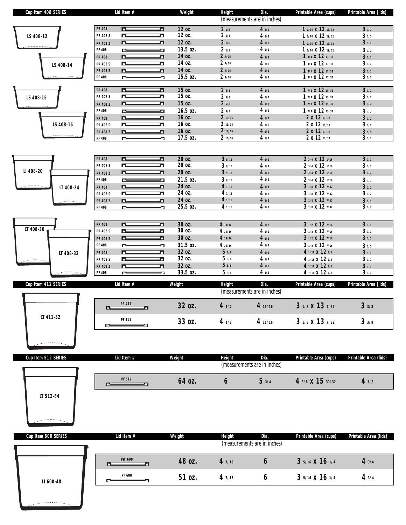| Cup Item 408 SERIES |                 | Lid Item #    | Weight           | <b>Height</b>  | Dia.                         | Printable Area (cups) | Printable Area (lids) |
|---------------------|-----------------|---------------|------------------|----------------|------------------------------|-----------------------|-----------------------|
|                     |                 |               |                  |                | (measurements are in inches) |                       |                       |
|                     | <b>PR 408</b>   | r<br>77       | 12 oz.           | 21/8           | 41/2                         | 1 7/16 X 12 19/32     | 31/2                  |
| LS 408-12           | <b>PR 408 S</b> | 57<br>n.      | 12 oz.           | 21/8           | 41/2                         | 1 7/16 X 12 19/32     | 31/2                  |
|                     | PR 408 Z        | 7<br>Œ        | 12 oz.           | 21/8           | 41/2                         | 1 7/16 X 12 19/32     | 31/2                  |
|                     | <b>PF 408</b>   | ſ<br>⇁        | 13.5 oz.         | 21/8           | 41/2                         | 1 7/16 X 12 19/32     | 31/2                  |
|                     | <b>PR 408</b>   | л<br>r        | 14 oz.           | 27/16          | 41/2                         | 1 3/4 X 12 17/32      | 31/2                  |
| LS 408-14           | <b>PR 408 S</b> | 77<br>h       | 14 oz.           | 27/16          | 41/2                         | 1 3/4 X 12 17/32      | 31/2                  |
|                     | <b>PR 408 Z</b> | л<br>r        | 14 oz.           | 27/16          | 41/2                         | 1 3/4 X 12 17/32      | 31/2                  |
|                     | <b>PF 408</b>   | 7<br>r        | 15.5 oz.         | 27/16          | 41/2                         | 1 3/4 X 12 17/32      | 31/2                  |
|                     |                 |               |                  |                |                              |                       |                       |
|                     | <b>PR 408</b>   | Œ<br>77       | 15 oz.           | 25/8           | 41/2                         | 1 7/8 X 12 15/32      | 31/2                  |
| LS 408-15           | <b>PR 408 S</b> | 57<br>h       | 15 oz.           | 25/8           | 41/2                         | 1 7/8 X 12 15/32      | 31/2                  |
|                     | <b>PR 408 Z</b> | л<br>n.       | 15 oz.           | 25/8           | 41/2                         | 1 7/8 X 12 15/32      | 31/2                  |
|                     | <b>PF 408</b>   | ľ<br>⇁        | 16.5 oz.         | 25/8           | 41/2                         | 1 7/8 X 12 15/32      | 31/2                  |
|                     | <b>PR 408</b>   | 77<br>D.      | 16 oz.           | 213/16         | 41/2                         | 2 x 12 11/32          | 31/2                  |
| LS 408-16           | <b>PR 408 S</b> | h<br>h        | 16 oz.           | 213/16         | 41/2                         | 2 x 12 11/32          | 31/2                  |
|                     | <b>PR 408 Z</b> | 71<br>ł       | 16 oz.           | 213/16         | 41/2                         | 2 x 12 11/32          | 31/2                  |
|                     | <b>PF 408</b>   | ∼             | 17.5 oz.         | 213/16         | 41/2                         | 2 x 12 11/32          | 31/2                  |
|                     |                 |               |                  |                |                              |                       |                       |
|                     |                 |               |                  |                |                              |                       |                       |
|                     | <b>PR 408</b>   | n.<br>л       | 20 oz.<br>20 oz. | 39/16          | 41/2                         | 2 3/4 X 12 1/16       | 31/2                  |
| LI 408-20           | <b>PR 408 S</b> | 77<br>n.<br>5 |                  | 39/16<br>39/16 | 41/2                         | 2 3/4 X 12 1/16       | 31/2<br>31/2          |
|                     | <b>PR 408 Z</b> | n.            | 20 oz.           |                | 41/2                         | 2 3/4 X 12 1/16       |                       |
|                     | <b>PF 408</b>   | r<br>5        | 21.5 oz.         | 39/16          | 41/2                         | 2 3/4 X 12 1/16       | 31/2                  |
| LT 408-24           | <b>PR 408</b>   | л<br>n.       | 24 oz.           | 4 1/16         | 41/2                         | 3 1/8 X 12 7/32       | 31/2                  |
|                     | <b>PR 408 S</b> | h<br>h        | 24 oz.           | 41/16          | 41/2                         | 3 1/8 X 12 7/32       | 31/2                  |
|                     | <b>PR 408 Z</b> | л<br>n.       | 24 oz.           | 41/16          | 41/2                         | 3 1/8 X 12 7/32       | 31/2                  |
|                     | <b>PF 408</b>   | ſ<br>л        | 25.5 oz.         | 41/16          | 41/2                         | 3 1/8 X 12 7/32       | 31/2                  |
|                     |                 |               |                  |                |                              |                       |                       |
| LT 408-30           | <b>PR 408</b>   | л<br>Œ        | 30 oz.           | 413/16         | 41/2                         | 3 1/2 X 12 7/16       | 31/2                  |
|                     | <b>PR 408 S</b> | 5<br>n.       | 30 oz.           | 4 13/16        | 41/2                         | 3 1/2 X 12 7/16       | 31/2                  |
|                     | <b>PR 408 Z</b> | Ø<br>N        | 30 oz.           | 413/16         | 41/2                         | 3 1/2 X 12 7/16       | 31/2                  |
|                     | <b>PF 408</b>   | ⇁             | 31.5 oz.         | 4 13/16        | 41/2                         | 3 1/2 X 12 7/16       | 31/2                  |
| LT 408-32           | <b>PR 408</b>   | л<br>n.       | 32 oz.           | 53/8           | 41/2                         | 4 1/16 X 12 1/8       | 31/2                  |
|                     | <b>PR 408 S</b> | 77<br>h       | 32 oz.           | 53/8           | 41/2                         | 4 1/16 X 12 1/8       | 31/2                  |
|                     | <b>PR 408 Z</b> | л<br>r        | 32 oz.           | 53/8           | 41/2                         | 4 1/16 X 12 1/8       | 31/2                  |
|                     | <b>PF 408</b>   | r             | 33.5 oz.         | 5 3/8          | 41/2                         | 4 1/16 X 12 1/8       | 31/2                  |
| Cup Item 411 SERIES |                 | Lid Item #    | Weight           | Height         | Dia.                         | Printable Area (cups) | Printable Area (lids) |
|                     |                 |               |                  |                | (measurements are in inches) |                       |                       |
|                     |                 | <b>PR 411</b> | 32 oz.           | 41/2           | 4 11/16                      | 3 1/8 X 13 7/32       | 33/8                  |
| LT 411-32           | D.              | Ø             |                  |                |                              |                       |                       |
|                     | r               | PF 411        | 33 oz.           | 41/2           | 4 11/16                      | 3 1/8 X 13 7/32       | 33/8                  |
|                     |                 |               |                  |                |                              |                       |                       |
|                     |                 |               |                  |                |                              |                       |                       |
|                     |                 |               |                  |                |                              |                       |                       |
| Cup Item 512 SERIES |                 | Lid Item #    | Weight           | <b>Height</b>  | Dia.                         | Printable Area (cups) | Printable Area (lids) |
|                     |                 |               |                  |                | (measurements are in inches) |                       |                       |
|                     |                 | <b>PF 512</b> | 64 oz.           | 6              | 5 3/4                        | 4 3/8 X 15 31/32      | 43/8                  |
|                     |                 |               |                  |                |                              |                       |                       |
| LT 512-64           |                 |               |                  |                |                              |                       |                       |
|                     |                 |               |                  |                |                              |                       |                       |
|                     |                 |               |                  |                |                              |                       |                       |
|                     |                 |               |                  |                |                              |                       |                       |
|                     |                 |               |                  |                |                              |                       |                       |
| Cup Item 600 SERIES |                 | Lid Item #    | Weight           | Height         | Dia.                         | Printable Area (cups) | Printable Area (lids) |
|                     |                 |               |                  |                | (measurements are in inches) |                       |                       |
|                     |                 | <b>PW 600</b> |                  |                |                              |                       |                       |
|                     | n.              | л             | 48 oz.           | 47/16          | 6                            | 3 5/16 X 16 1/4       | 43/4                  |
|                     |                 | PF 600        | 51 oz.           | 47/16          | 6                            | 3 5/16 X 16 1/4       | 43/4                  |
| LI 600-48           |                 |               |                  |                |                              |                       |                       |

<u> Literature de la</u>